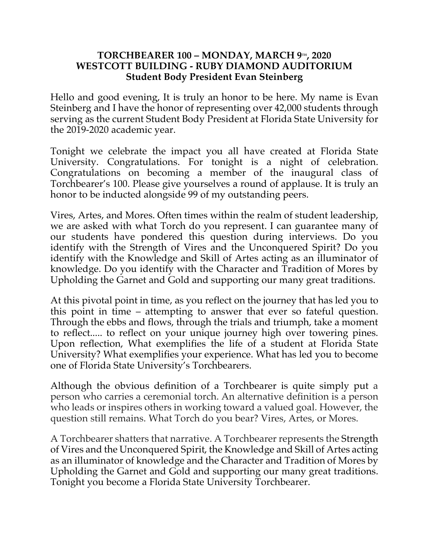## **TORCHBEARER 100 – MONDAY, MARCH 9TH, 2020 WESTCOTT BUILDING - RUBY DIAMOND AUDITORIUM Student Body President Evan Steinberg**

Hello and good evening, It is truly an honor to be here. My name is Evan Steinberg and I have the honor of representing over 42,000 students through serving as the current Student Body President at Florida State University for the 2019-2020 academic year.

Tonight we celebrate the impact you all have created at Florida State University. Congratulations. For tonight is a night of celebration. Congratulations on becoming a member of the inaugural class of Torchbearer's 100. Please give yourselves a round of applause. It is truly an honor to be inducted alongside 99 of my outstanding peers.

Vires, Artes, and Mores. Often times within the realm of student leadership, we are asked with what Torch do you represent. I can guarantee many of our students have pondered this question during interviews. Do you identify with the Strength of Vires and the Unconquered Spirit? Do you identify with the Knowledge and Skill of Artes acting as an illuminator of knowledge. Do you identify with the Character and Tradition of Mores by Upholding the Garnet and Gold and supporting our many great traditions.

At this pivotal point in time, as you reflect on the journey that has led you to this point in time – attempting to answer that ever so fateful question. Through the ebbs and flows, through the trials and triumph, take a moment to reflect..... to reflect on your unique journey high over towering pines. Upon reflection, What exemplifies the life of a student at Florida State University? What exemplifies your experience. What has led you to become one of Florida State University's Torchbearers.

Although the obvious definition of a Torchbearer is quite simply put a person who carries a ceremonial torch. An alternative definition is a person who leads or inspires others in working toward a valued goal. However, the question still remains. What Torch do you bear? Vires, Artes, or Mores.

A Torchbearer shatters that narrative. A Torchbearer represents the Strength of Vires and the Unconquered Spirit, the Knowledge and Skill of Artes acting as an illuminator of knowledge and the Character and Tradition of Mores by Upholding the Garnet and Gold and supporting our many great traditions. Tonight you become a Florida State University Torchbearer.